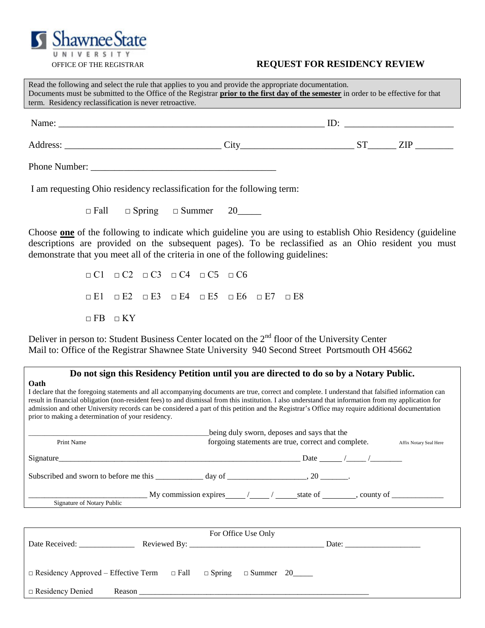# OFFICE OF THE REGISTRAR **REQUEST FOR RESIDENCY REVIEW**

| Read the following and select the rule that applies to you and provide the appropriate documentation.<br>Documents must be submitted to the Office of the Registrar prior to the first day of the semester in order to be effective for that<br>term. Residency reclassification is never retroactive. |                                        |  |  |  |  |  |  |
|--------------------------------------------------------------------------------------------------------------------------------------------------------------------------------------------------------------------------------------------------------------------------------------------------------|----------------------------------------|--|--|--|--|--|--|
| Name: $\Box$ ID: $\Box$                                                                                                                                                                                                                                                                                |                                        |  |  |  |  |  |  |
|                                                                                                                                                                                                                                                                                                        | $\text{City}$ $\text{ST}$ $\text{ZIP}$ |  |  |  |  |  |  |
|                                                                                                                                                                                                                                                                                                        |                                        |  |  |  |  |  |  |

I am requesting Ohio residency reclassification for the following term:

 $\Box$  Fall  $\Box$  Spring  $\Box$  Summer 20

Choose **one** of the following to indicate which guideline you are using to establish Ohio Residency (guideline descriptions are provided on the subsequent pages). To be reclassified as an Ohio resident you must demonstrate that you meet all of the criteria in one of the following guidelines:

> □ C1 □ C2 □ C3 □ C4 □ C5 □ C6 □ E1 □ E2 □ E3 □ E4 □ E5 □ E6 □ E7 □ E8  $\Box$  FB  $\Box$  KY

Deliver in person to: Student Business Center located on the  $2<sup>nd</sup>$  floor of the University Center Mail to: Office of the Registrar Shawnee State University 940 Second Street Portsmouth OH 45662

# **Do not sign this Residency Petition until you are directed to do so by a Notary Public.**

**Oath**  I declare that the foregoing statements and all accompanying documents are true, correct and complete. I understand that falsified information can result in financial obligation (non-resident fees) to and dismissal from this institution. I also understand that information from my application for admission and other University records can be considered a part of this petition and the Registrar"s Office may require additional documentation prior to making a determination of your residency.

| Print Name                                                                        | being duly sworn, deposes and says that the<br>forgoing statements are true, correct and complete.<br>Affix Notary Seal Here |  |  |                                        |  |
|-----------------------------------------------------------------------------------|------------------------------------------------------------------------------------------------------------------------------|--|--|----------------------------------------|--|
| Signature                                                                         |                                                                                                                              |  |  | Date $\frac{\frac{1}{2}}{\frac{1}{2}}$ |  |
| Subscribed and sworn to before me this _____________ day of _____________________ |                                                                                                                              |  |  |                                        |  |
| Signature of Notary Public                                                        | My commission expires $\frac{1}{2}$ $\frac{1}{2}$ state of $\frac{1}{2}$ , county of $\frac{1}{2}$                           |  |  |                                        |  |

| For Office Use Only                                                                   |  |  |  |  |  |  |
|---------------------------------------------------------------------------------------|--|--|--|--|--|--|
| Date Received:                                                                        |  |  |  |  |  |  |
| $\Box$ Residency Approved – Effective Term $\Box$ Fall $\Box$ Spring $\Box$ Summer 20 |  |  |  |  |  |  |
| $\Box$ Residency Denied<br>Reason                                                     |  |  |  |  |  |  |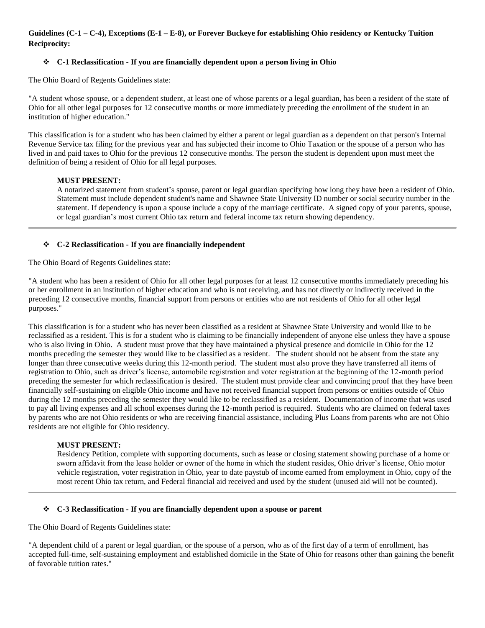# **Guidelines (C-1 – C-4), Exceptions (E-1 – E-8), or Forever Buckeye for establishing Ohio residency or Kentucky Tuition Reciprocity:**

## **C-1 Reclassification - If you are financially dependent upon a person living in Ohio**

The Ohio Board of Regents Guidelines state:

"A student whose spouse, or a dependent student, at least one of whose parents or a legal guardian, has been a resident of the state of Ohio for all other legal purposes for 12 consecutive months or more immediately preceding the enrollment of the student in an institution of higher education."

This classification is for a student who has been claimed by either a parent or legal guardian as a dependent on that person's Internal Revenue Service tax filing for the previous year and has subjected their income to Ohio Taxation or the spouse of a person who has lived in and paid taxes to Ohio for the previous 12 consecutive months. The person the student is dependent upon must meet the definition of being a resident of Ohio for all legal purposes.

## **MUST PRESENT:**

A notarized statement from student"s spouse, parent or legal guardian specifying how long they have been a resident of Ohio. Statement must include dependent student's name and Shawnee State University ID number or social security number in the statement. If dependency is upon a spouse include a copy of the marriage certificate. A signed copy of your parents, spouse, or legal guardian"s most current Ohio tax return and federal income tax return showing dependency.

## **C-2 Reclassification - If you are financially independent**

The Ohio Board of Regents Guidelines state:

"A student who has been a resident of Ohio for all other legal purposes for at least 12 consecutive months immediately preceding his or her enrollment in an institution of higher education and who is not receiving, and has not directly or indirectly received in the preceding 12 consecutive months, financial support from persons or entities who are not residents of Ohio for all other legal purposes."

This classification is for a student who has never been classified as a resident at Shawnee State University and would like to be reclassified as a resident. This is for a student who is claiming to be financially independent of anyone else unless they have a spouse who is also living in Ohio. A student must prove that they have maintained a physical presence and domicile in Ohio for the 12 months preceding the semester they would like to be classified as a resident. The student should not be absent from the state any longer than three consecutive weeks during this 12-month period. The student must also prove they have transferred all items of registration to Ohio, such as driver"s license, automobile registration and voter registration at the beginning of the 12-month period preceding the semester for which reclassification is desired. The student must provide clear and convincing proof that they have been financially self-sustaining on eligible Ohio income and have not received financial support from persons or entities outside of Ohio during the 12 months preceding the semester they would like to be reclassified as a resident. Documentation of income that was used to pay all living expenses and all school expenses during the 12-month period is required. Students who are claimed on federal taxes by parents who are not Ohio residents or who are receiving financial assistance, including Plus Loans from parents who are not Ohio residents are not eligible for Ohio residency.

## **MUST PRESENT:**

Residency Petition, complete with supporting documents, such as lease or closing statement showing purchase of a home or sworn affidavit from the lease holder or owner of the home in which the student resides, Ohio driver"s license, Ohio motor vehicle registration, voter registration in Ohio, year to date paystub of income earned from employment in Ohio, copy of the most recent Ohio tax return, and Federal financial aid received and used by the student (unused aid will not be counted).

#### **C-3 Reclassification - If you are financially dependent upon a spouse or parent**

The Ohio Board of Regents Guidelines state:

"A dependent child of a parent or legal guardian, or the spouse of a person, who as of the first day of a term of enrollment, has accepted full-time, self-sustaining employment and established domicile in the State of Ohio for reasons other than gaining the benefit of favorable tuition rates."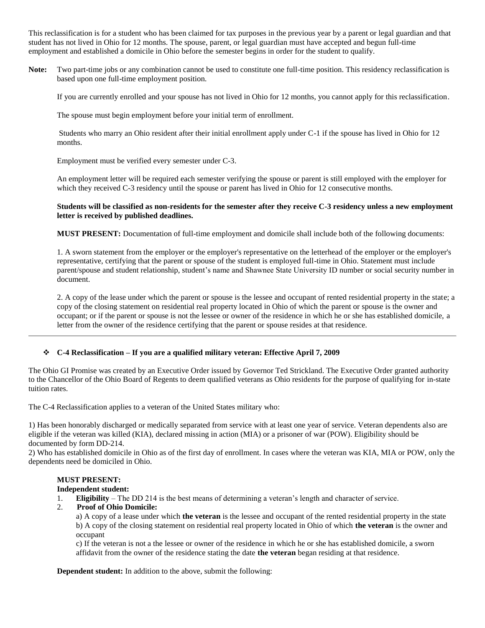This reclassification is for a student who has been claimed for tax purposes in the previous year by a parent or legal guardian and that student has not lived in Ohio for 12 months. The spouse, parent, or legal guardian must have accepted and begun full-time employment and established a domicile in Ohio before the semester begins in order for the student to qualify.

**Note:** Two part-time jobs or any combination cannot be used to constitute one full-time position. This residency reclassification is based upon one full-time employment position.

If you are currently enrolled and your spouse has not lived in Ohio for 12 months, you cannot apply for this reclassification.

The spouse must begin employment before your initial term of enrollment.

Students who marry an Ohio resident after their initial enrollment apply under C-1 if the spouse has lived in Ohio for 12 months.

Employment must be verified every semester under C-3.

An employment letter will be required each semester verifying the spouse or parent is still employed with the employer for which they received C-3 residency until the spouse or parent has lived in Ohio for 12 consecutive months.

**Students will be classified as non-residents for the semester after they receive C-3 residency unless a new employment letter is received by published deadlines.** 

**MUST PRESENT:** Documentation of full-time employment and domicile shall include both of the following documents:

1. A sworn statement from the employer or the employer's representative on the letterhead of the employer or the employer's representative, certifying that the parent or spouse of the student is employed full-time in Ohio. Statement must include parent/spouse and student relationship, student"s name and Shawnee State University ID number or social security number in document.

2. A copy of the lease under which the parent or spouse is the lessee and occupant of rented residential property in the state; a copy of the closing statement on residential real property located in Ohio of which the parent or spouse is the owner and occupant; or if the parent or spouse is not the lessee or owner of the residence in which he or she has established domicile, a letter from the owner of the residence certifying that the parent or spouse resides at that residence.

## **C-4 Reclassification – If you are a qualified military veteran: Effective April 7, 2009**

The Ohio GI Promise was created by an Executive Order issued by Governor Ted Strickland. The Executive Order granted authority to the Chancellor of the Ohio Board of Regents to deem qualified veterans as Ohio residents for the purpose of qualifying for in-state tuition rates.

The C-4 Reclassification applies to a veteran of the United States military who:

1) Has been honorably discharged or medically separated from service with at least one year of service. Veteran dependents also are eligible if the veteran was killed (KIA), declared missing in action (MIA) or a prisoner of war (POW). Eligibility should be documented by form DD-214.

2) Who has established domicile in Ohio as of the first day of enrollment. In cases where the veteran was KIA, MIA or POW, only the dependents need be domiciled in Ohio.

# **MUST PRESENT:**

#### **Independent student:**

- 1. **Eligibility**  The DD 214 is the best means of determining a veteran"s length and character of service.
- 2. **Proof of Ohio Domicile:**

a) A copy of a lease under which **the veteran** is the lessee and occupant of the rented residential property in the state b) A copy of the closing statement on residential real property located in Ohio of which **the veteran** is the owner and occupant

c) If the veteran is not a the lessee or owner of the residence in which he or she has established domicile, a sworn affidavit from the owner of the residence stating the date **the veteran** began residing at that residence.

**Dependent student:** In addition to the above, submit the following: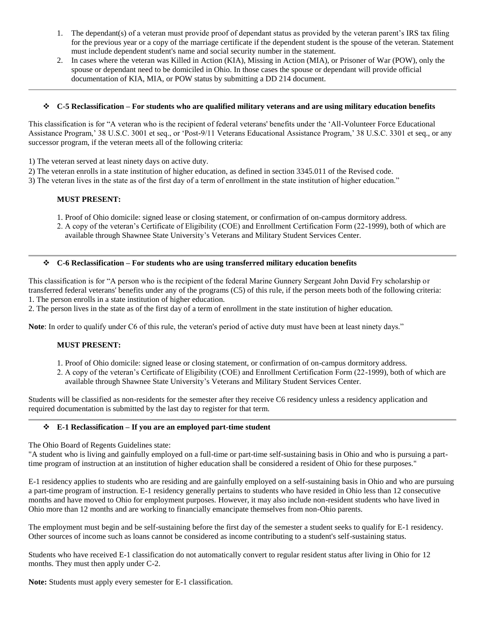- 1. The dependant(s) of a veteran must provide proof of dependant status as provided by the veteran parent"s IRS tax filing for the previous year or a copy of the marriage certificate if the dependent student is the spouse of the veteran. Statement must include dependent student's name and social security number in the statement.
- 2. In cases where the veteran was Killed in Action (KIA), Missing in Action (MIA), or Prisoner of War (POW), only the spouse or dependant need to be domiciled in Ohio. In those cases the spouse or dependant will provide official documentation of KIA, MIA, or POW status by submitting a DD 214 document.

## **C-5 Reclassification – For students who are qualified military veterans and are using military education benefits**

This classification is for "A veteran who is the recipient of federal veterans' benefits under the "All-Volunteer Force Educational Assistance Program," 38 U.S.C. 3001 et seq., or "Post-9/11 Veterans Educational Assistance Program," 38 U.S.C. 3301 et seq., or any successor program, if the veteran meets all of the following criteria:

1) The veteran served at least ninety days on active duty.

2) The veteran enrolls in a state institution of higher education, as defined in section 3345.011 of the Revised code.

3) The veteran lives in the state as of the first day of a term of enrollment in the state institution of higher education."

#### **MUST PRESENT:**

- 1. Proof of Ohio domicile: signed lease or closing statement, or confirmation of on-campus dormitory address.
- 2. A copy of the veteran"s Certificate of Eligibility (COE) and Enrollment Certification Form (22-1999), both of which are available through Shawnee State University"s Veterans and Military Student Services Center.

#### **C-6 Reclassification – For students who are using transferred military education benefits**

This classification is for "A person who is the recipient of the federal Marine Gunnery Sergeant John David Fry scholarship or transferred federal veterans' benefits under any of the programs (C5) of this rule, if the person meets both of the following criteria: 1. The person enrolls in a state institution of higher education.

2. The person lives in the state as of the first day of a term of enrollment in the state institution of higher education.

**Note**: In order to qualify under C6 of this rule, the veteran's period of active duty must have been at least ninety days."

## **MUST PRESENT:**

- 1. Proof of Ohio domicile: signed lease or closing statement, or confirmation of on-campus dormitory address.
- 2. A copy of the veteran"s Certificate of Eligibility (COE) and Enrollment Certification Form (22-1999), both of which are available through Shawnee State University"s Veterans and Military Student Services Center.

Students will be classified as non-residents for the semester after they receive C6 residency unless a residency application and required documentation is submitted by the last day to register for that term.

#### **E-1 Reclassification – If you are an employed part-time student**

The Ohio Board of Regents Guidelines state:

"A student who is living and gainfully employed on a full-time or part-time self-sustaining basis in Ohio and who is pursuing a parttime program of instruction at an institution of higher education shall be considered a resident of Ohio for these purposes."

E-1 residency applies to students who are residing and are gainfully employed on a self-sustaining basis in Ohio and who are pursuing a part-time program of instruction. E-1 residency generally pertains to students who have resided in Ohio less than 12 consecutive months and have moved to Ohio for employment purposes. However, it may also include non-resident students who have lived in Ohio more than 12 months and are working to financially emancipate themselves from non-Ohio parents.

The employment must begin and be self-sustaining before the first day of the semester a student seeks to qualify for E-1 residency. Other sources of income such as loans cannot be considered as income contributing to a student's self-sustaining status.

Students who have received E-1 classification do not automatically convert to regular resident status after living in Ohio for 12 months. They must then apply under C-2.

**Note:** Students must apply every semester for E-1 classification.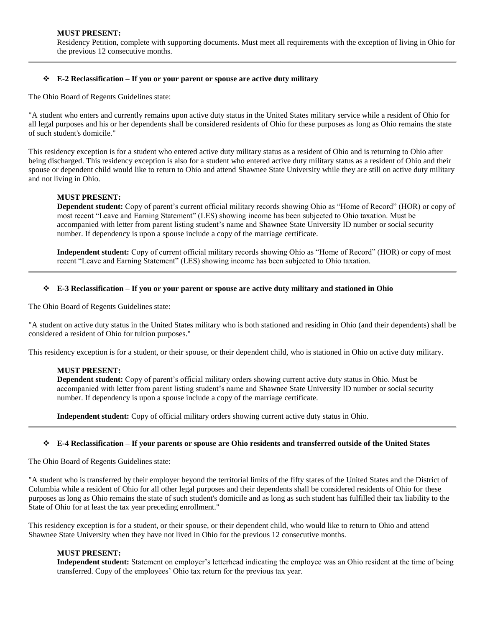Residency Petition, complete with supporting documents. Must meet all requirements with the exception of living in Ohio for the previous 12 consecutive months.

## **E-2 Reclassification – If you or your parent or spouse are active duty military**

The Ohio Board of Regents Guidelines state:

"A student who enters and currently remains upon active duty status in the United States military service while a resident of Ohio for all legal purposes and his or her dependents shall be considered residents of Ohio for these purposes as long as Ohio remains the state of such student's domicile."

This residency exception is for a student who entered active duty military status as a resident of Ohio and is returning to Ohio after being discharged. This residency exception is also for a student who entered active duty military status as a resident of Ohio and their spouse or dependent child would like to return to Ohio and attend Shawnee State University while they are still on active duty military and not living in Ohio.

# **MUST PRESENT:**

**Dependent student:** Copy of parent's current official military records showing Ohio as "Home of Record" (HOR) or copy of most recent "Leave and Earning Statement" (LES) showing income has been subjected to Ohio taxation. Must be accompanied with letter from parent listing student"s name and Shawnee State University ID number or social security number. If dependency is upon a spouse include a copy of the marriage certificate.

**Independent student:** Copy of current official military records showing Ohio as "Home of Record" (HOR) or copy of most recent "Leave and Earning Statement" (LES) showing income has been subjected to Ohio taxation.

## **E-3 Reclassification – If you or your parent or spouse are active duty military and stationed in Ohio**

The Ohio Board of Regents Guidelines state:

"A student on active duty status in the United States military who is both stationed and residing in Ohio (and their dependents) shall be considered a resident of Ohio for tuition purposes."

This residency exception is for a student, or their spouse, or their dependent child, who is stationed in Ohio on active duty military.

## **MUST PRESENT:**

**Dependent student:** Copy of parent"s official military orders showing current active duty status in Ohio. Must be accompanied with letter from parent listing student"s name and Shawnee State University ID number or social security number. If dependency is upon a spouse include a copy of the marriage certificate.

**Independent student:** Copy of official military orders showing current active duty status in Ohio.

## **E-4 Reclassification – If your parents or spouse are Ohio residents and transferred outside of the United States**

The Ohio Board of Regents Guidelines state:

"A student who is transferred by their employer beyond the territorial limits of the fifty states of the United States and the District of Columbia while a resident of Ohio for all other legal purposes and their dependents shall be considered residents of Ohio for these purposes as long as Ohio remains the state of such student's domicile and as long as such student has fulfilled their tax liability to the State of Ohio for at least the tax year preceding enrollment."

This residency exception is for a student, or their spouse, or their dependent child, who would like to return to Ohio and attend Shawnee State University when they have not lived in Ohio for the previous 12 consecutive months.

## **MUST PRESENT:**

**Independent student:** Statement on employer"s letterhead indicating the employee was an Ohio resident at the time of being transferred. Copy of the employees" Ohio tax return for the previous tax year.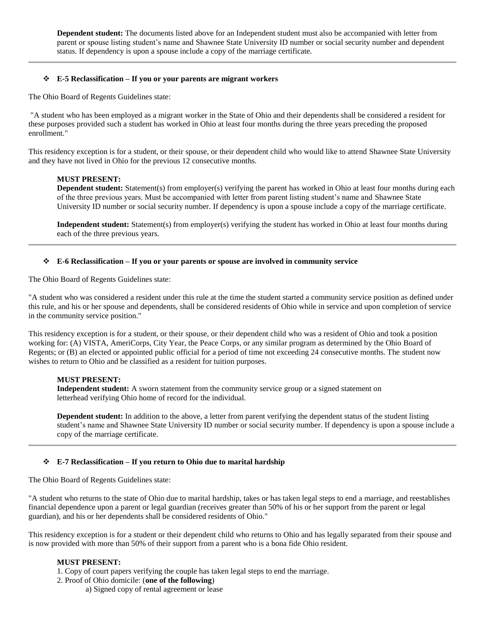**Dependent student:** The documents listed above for an Independent student must also be accompanied with letter from parent or spouse listing student"s name and Shawnee State University ID number or social security number and dependent status. If dependency is upon a spouse include a copy of the marriage certificate.

### **E-5 Reclassification – If you or your parents are migrant workers**

The Ohio Board of Regents Guidelines state:

"A student who has been employed as a migrant worker in the State of Ohio and their dependents shall be considered a resident for these purposes provided such a student has worked in Ohio at least four months during the three years preceding the proposed enrollment."

This residency exception is for a student, or their spouse, or their dependent child who would like to attend Shawnee State University and they have not lived in Ohio for the previous 12 consecutive months.

#### **MUST PRESENT:**

**Dependent student:** Statement(s) from employer(s) verifying the parent has worked in Ohio at least four months during each of the three previous years. Must be accompanied with letter from parent listing student"s name and Shawnee State University ID number or social security number. If dependency is upon a spouse include a copy of the marriage certificate.

**Independent student:** Statement(s) from employer(s) verifying the student has worked in Ohio at least four months during each of the three previous years.

#### **E-6 Reclassification – If you or your parents or spouse are involved in community service**

The Ohio Board of Regents Guidelines state:

"A student who was considered a resident under this rule at the time the student started a community service position as defined under this rule, and his or her spouse and dependents, shall be considered residents of Ohio while in service and upon completion of service in the community service position."

This residency exception is for a student, or their spouse, or their dependent child who was a resident of Ohio and took a position working for: (A) VISTA, AmeriCorps, City Year, the Peace Corps, or any similar program as determined by the Ohio Board of Regents; or (B) an elected or appointed public official for a period of time not exceeding 24 consecutive months. The student now wishes to return to Ohio and be classified as a resident for tuition purposes.

## **MUST PRESENT:**

**Independent student:** A sworn statement from the community service group or a signed statement on letterhead verifying Ohio home of record for the individual.

**Dependent student:** In addition to the above, a letter from parent verifying the dependent status of the student listing student"s name and Shawnee State University ID number or social security number. If dependency is upon a spouse include a copy of the marriage certificate.

#### **E-7 Reclassification – If you return to Ohio due to marital hardship**

The Ohio Board of Regents Guidelines state:

"A student who returns to the state of Ohio due to marital hardship, takes or has taken legal steps to end a marriage, and reestablishes financial dependence upon a parent or legal guardian (receives greater than 50% of his or her support from the parent or legal guardian), and his or her dependents shall be considered residents of Ohio."

This residency exception is for a student or their dependent child who returns to Ohio and has legally separated from their spouse and is now provided with more than 50% of their support from a parent who is a bona fide Ohio resident.

#### **MUST PRESENT:**

- 1. Copy of court papers verifying the couple has taken legal steps to end the marriage.
- 2. Proof of Ohio domicile: (**one of the following**)
	- a) Signed copy of rental agreement or lease